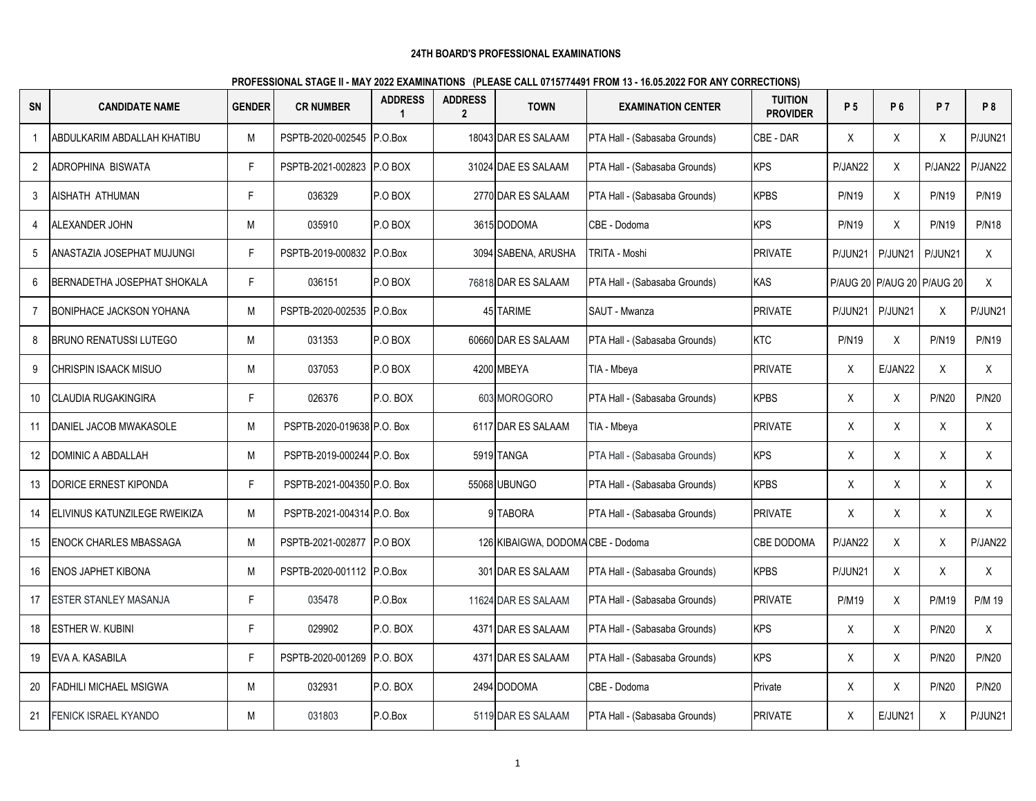| <b>SN</b>      | <b>CANDIDATE NAME</b>           | <b>GENDER</b> | <b>CR NUMBER</b>            | <b>ADDRESS</b> | <b>ADDRESS</b><br>$\overline{2}$ | <b>TOWN</b>                       | <b>EXAMINATION CENTER</b>     | <b>TUITION</b><br><b>PROVIDER</b> | P 5          | P 6                        | <b>P7</b>    | P <sub>8</sub> |
|----------------|---------------------------------|---------------|-----------------------------|----------------|----------------------------------|-----------------------------------|-------------------------------|-----------------------------------|--------------|----------------------------|--------------|----------------|
| 1              | ABDULKARIM ABDALLAH KHATIBU     | М             | PSPTB-2020-002545           | P.O.Box        |                                  | 18043 DAR ES SALAAM               | PTA Hall - (Sabasaba Grounds) | CBE - DAR                         | X            | X                          | X            | P/JUN21        |
| 2              | ADROPHINA BISWATA               | F             | PSPTB-2021-002823 P.O BOX   |                |                                  | 31024 DAE ES SALAAM               | PTA Hall - (Sabasaba Grounds) | <b>KPS</b>                        | P/JAN22      | X                          | P/JAN22      | P/JAN22        |
| 3              | AISHATH ATHUMAN                 | F             | 036329                      | P.O BOX        |                                  | 2770 DAR ES SALAAM                | PTA Hall - (Sabasaba Grounds) | <b>KPBS</b>                       | <b>P/N19</b> | X                          | <b>P/N19</b> | <b>P/N19</b>   |
| 4              | ALEXANDER JOHN                  | M             | 035910                      | P.O BOX        |                                  | 3615 DODOMA                       | CBE - Dodoma                  | <b>KPS</b>                        | <b>P/N19</b> | X                          | <b>P/N19</b> | <b>P/N18</b>   |
| 5              | ANASTAZIA JOSEPHAT MUJUNGI      | F             | PSPTB-2019-000832 P.O.Box   |                |                                  | 3094 SABENA, ARUSHA               | TRITA - Moshi                 | <b>PRIVATE</b>                    | P/JUN21      | P/JUN21                    | P/JUN21      | X              |
| 6              | BERNADETHA JOSEPHAT SHOKALA     | F.            | 036151                      | P.O BOX        |                                  | 76818 DAR ES SALAAM               | PTA Hall - (Sabasaba Grounds) | <b>KAS</b>                        |              | P/AUG 20 P/AUG 20 P/AUG 20 |              | X              |
| $\overline{7}$ | <b>BONIPHACE JACKSON YOHANA</b> | M             | PSPTB-2020-002535 P.O.Box   |                |                                  | 45 TARIME                         | SAUT - Mwanza                 | <b>PRIVATE</b>                    | P/JUN21      | P/JUN21                    | X            | P/JUN21        |
| 8              | <b>BRUNO RENATUSSI LUTEGO</b>   | M             | 031353                      | P.O BOX        |                                  | 60660 DAR ES SALAAM               | PTA Hall - (Sabasaba Grounds) | <b>KTC</b>                        | <b>P/N19</b> | X                          | <b>P/N19</b> | <b>P/N19</b>   |
| 9              | CHRISPIN ISAACK MISUO           | M             | 037053                      | P.O BOX        |                                  | 4200 MBEYA                        | TIA - Mbeya                   | <b>PRIVATE</b>                    | X            | E/JAN22                    | $\sf X$      | X              |
| 10             | CLAUDIA RUGAKINGIRA             | F             | 026376                      | P.O. BOX       |                                  | 603 MOROGORO                      | PTA Hall - (Sabasaba Grounds) | <b>KPBS</b>                       | Χ            | X                          | <b>P/N20</b> | <b>P/N20</b>   |
| 11             | DANIEL JACOB MWAKASOLE          | M             | PSPTB-2020-019638 P.O. Box  |                |                                  | 6117 DAR ES SALAAM                | TIA - Mbeya                   | <b>PRIVATE</b>                    | X            | X                          | Χ            | X              |
| 12             | DOMINIC A ABDALLAH              | М             | PSPTB-2019-000244 P.O. Box  |                |                                  | 5919 TANGA                        | PTA Hall - (Sabasaba Grounds) | <b>KPS</b>                        | Χ            | X                          | Χ            | X              |
| 13             | DORICE ERNEST KIPONDA           | F.            | PSPTB-2021-004350 P.O. Box  |                |                                  | 55068 UBUNGO                      | PTA Hall - (Sabasaba Grounds) | <b>KPBS</b>                       | X            | X                          | X            | X              |
| 14             | ELIVINUS KATUNZILEGE RWEIKIZA   | М             | PSPTB-2021-004314 P.O. Box  |                |                                  | 9 TABORA                          | PTA Hall - (Sabasaba Grounds) | <b>PRIVATE</b>                    | Χ            | X                          | Χ            | X              |
| 15             | ENOCK CHARLES MBASSAGA          | М             | PSPTB-2021-002877 P.O BOX   |                |                                  | 126 KIBAIGWA, DODOMA CBE - Dodoma |                               | <b>CBE DODOMA</b>                 | P/JAN22      | X                          | Χ            | P/JAN22        |
| 16             | ENOS JAPHET KIBONA              | M             | PSPTB-2020-001112 P.O.Box   |                |                                  | 301 DAR ES SALAAM                 | PTA Hall - (Sabasaba Grounds) | <b>KPBS</b>                       | P/JUN21      | X                          | $\sf X$      | X              |
| 17             | ESTER STANLEY MASANJA           | F.            | 035478                      | P.O.Box        |                                  | 11624 DAR ES SALAAM               | PTA Hall - (Sabasaba Grounds) | PRIVATE                           | <b>P/M19</b> | Χ                          | <b>P/M19</b> | P/M 19         |
| 18             | <b>ESTHER W. KUBINI</b>         | F             | 029902                      | P.O. BOX       |                                  | 4371 DAR ES SALAAM                | PTA Hall - (Sabasaba Grounds) | <b>KPS</b>                        | $\mathsf X$  | X                          | <b>P/N20</b> | X              |
| 19             | EVA A. KASABILA                 | F             | PSPTB-2020-001269 IP.O. BOX |                |                                  | 4371 DAR ES SALAAM                | PTA Hall - (Sabasaba Grounds) | <b>KPS</b>                        | Χ            | X                          | <b>P/N20</b> | <b>P/N20</b>   |
| 20             | FADHILI MICHAEL MSIGWA          | М             | 032931                      | P.O. BOX       |                                  | 2494 DODOMA                       | CBE - Dodoma                  | Private                           | Χ            | X                          | <b>P/N20</b> | <b>P/N20</b>   |
| 21             | <b>FENICK ISRAEL KYANDO</b>     | M             | 031803                      | P.O.Box        |                                  | 5119 DAR ES SALAAM                | PTA Hall - (Sabasaba Grounds) | <b>PRIVATE</b>                    | X            | E/JUN21                    | X            | P/JUN21        |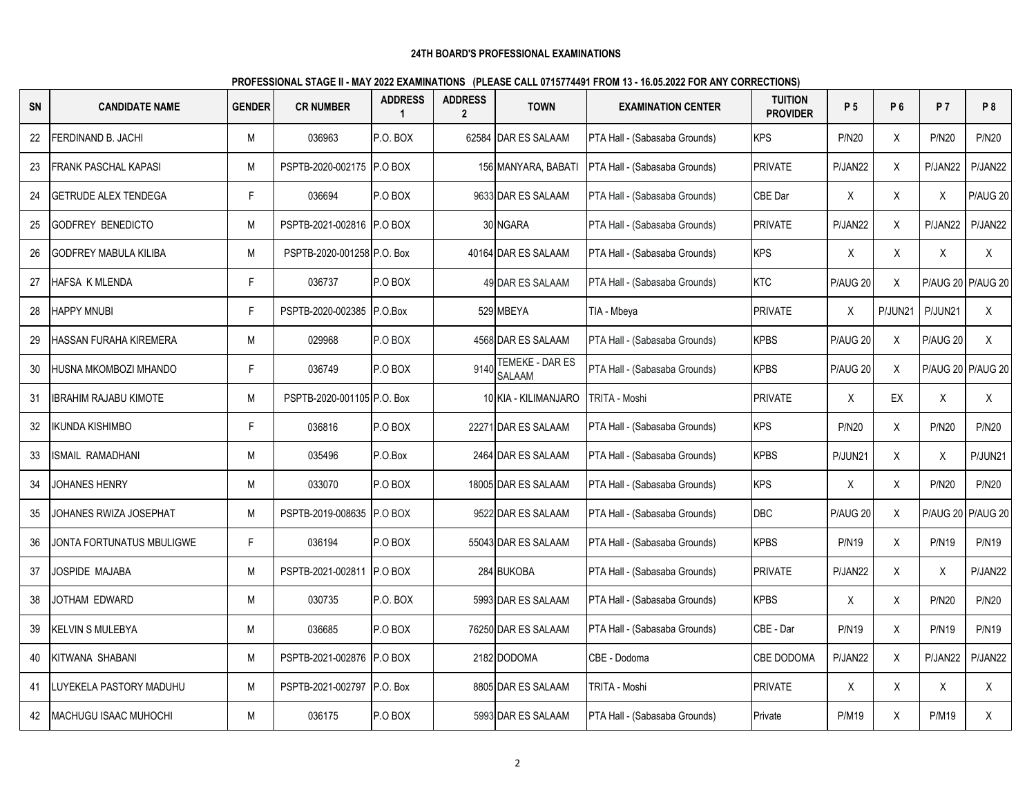| <b>SN</b> | <b>CANDIDATE NAME</b>        | <b>GENDER</b> | <b>CR NUMBER</b>           | <b>ADDRESS</b> | <b>ADDRESS</b><br>$\overline{2}$ | <b>TOWN</b>                      | <b>EXAMINATION CENTER</b>     | <b>TUITION</b><br><b>PROVIDER</b> | P 5            | P 6     | <b>P7</b>    | P <sub>8</sub>    |
|-----------|------------------------------|---------------|----------------------------|----------------|----------------------------------|----------------------------------|-------------------------------|-----------------------------------|----------------|---------|--------------|-------------------|
| 22        | FERDINAND B. JACHI           | M             | 036963                     | P.O. BOX       |                                  | 62584 DAR ES SALAAM              | PTA Hall - (Sabasaba Grounds) | <b>KPS</b>                        | <b>P/N20</b>   | X       | <b>P/N20</b> | <b>P/N20</b>      |
| 23        | FRANK PASCHAL KAPASI         | M             | PSPTB-2020-002175 P.O BOX  |                |                                  | 156 MANYARA, BABATI              | PTA Hall - (Sabasaba Grounds) | <b>PRIVATE</b>                    | P/JAN22        | X       | P/JAN22      | P/JAN22           |
| 24        | <b>GETRUDE ALEX TENDEGA</b>  | F             | 036694                     | P.O BOX        |                                  | 9633 DAR ES SALAAM               | PTA Hall - (Sabasaba Grounds) | CBE Dar                           | X              | X       | X            | <b>P/AUG 20</b>   |
| 25        | <b>GODFREY BENEDICTO</b>     | M             | PSPTB-2021-002816 P.O BOX  |                |                                  | 30 NGARA                         | PTA Hall - (Sabasaba Grounds) | <b>PRIVATE</b>                    | P/JAN22        | X       | P/JAN22      | P/JAN22           |
| 26        | <b>GODFREY MABULA KILIBA</b> | M             | PSPTB-2020-001258 P.O. Box |                |                                  | 40164 DAR ES SALAAM              | PTA Hall - (Sabasaba Grounds) | <b>KPS</b>                        | X              | X       | Χ            | X                 |
| 27        | HAFSA K MLENDA               | F             | 036737                     | P.O BOX        |                                  | 49 DAR ES SALAAM                 | PTA Hall - (Sabasaba Grounds) | <b>KTC</b>                        | P/AUG 20       | X       |              | P/AUG 20 P/AUG 20 |
| 28        | <b>HAPPY MNUBI</b>           | F             | PSPTB-2020-002385 P.O.Box  |                |                                  | 529 MBEYA                        | TIA - Mbeya                   | <b>PRIVATE</b>                    | X              | P/JUN21 | P/JUN21      | X                 |
| 29        | HASSAN FURAHA KIREMERA       | M             | 029968                     | P.O BOX        |                                  | 4568 DAR ES SALAAM               | PTA Hall - (Sabasaba Grounds) | <b>KPBS</b>                       | P/AUG 20       | X       | P/AUG 20     | X                 |
| 30        | HUSNA MKOMBOZI MHANDO        | F             | 036749                     | P.O BOX        | 9140                             | TEMEKE - DAR ES<br><b>SALAAM</b> | PTA Hall - (Sabasaba Grounds) | <b>KPBS</b>                       | P/AUG 20       | X       |              | P/AUG 20 P/AUG 20 |
| 31        | <b>IBRAHIM RAJABU KIMOTE</b> | M             | PSPTB-2020-001105 P.O. Box |                |                                  | 10 KIA - KILIMANJARO             | <b>TRITA - Moshi</b>          | <b>PRIVATE</b>                    | X              | EX      | X            | X                 |
| 32        | IKUNDA KISHIMBO              | F             | 036816                     | P.O BOX        |                                  | 22271 DAR ES SALAAM              | PTA Hall - (Sabasaba Grounds) | <b>KPS</b>                        | <b>P/N20</b>   | X       | <b>P/N20</b> | <b>P/N20</b>      |
| 33        | SMAIL RAMADHANI              | M             | 035496                     | P.O.Box        |                                  | 2464 DAR ES SALAAM               | PTA Hall - (Sabasaba Grounds) | <b>KPBS</b>                       | <b>P/JUN21</b> | X       | X            | P/JUN21           |
| 34        | JOHANES HENRY                | M             | 033070                     | P.O BOX        |                                  | 18005 DAR ES SALAAM              | PTA Hall - (Sabasaba Grounds) | <b>KPS</b>                        | Χ              | X       | <b>P/N20</b> | <b>P/N20</b>      |
| 35        | JOHANES RWIZA JOSEPHAT       | M             | PSPTB-2019-008635          | P.O BOX        |                                  | 9522 DAR ES SALAAM               | PTA Hall - (Sabasaba Grounds) | <b>DBC</b>                        | P/AUG 20       | X       |              | P/AUG 20 P/AUG 20 |
| 36        | JONTA FORTUNATUS MBULIGWE    | F             | 036194                     | P.O BOX        |                                  | 55043 DAR ES SALAAM              | PTA Hall - (Sabasaba Grounds) | <b>KPBS</b>                       | <b>P/N19</b>   | X       | <b>P/N19</b> | <b>P/N19</b>      |
| 37        | JOSPIDE MAJABA               | M             | PSPTB-2021-002811          | P.O BOX        |                                  | 284 BUKOBA                       | PTA Hall - (Sabasaba Grounds) | <b>PRIVATE</b>                    | P/JAN22        | X       | X            | P/JAN22           |
| 38        | JOTHAM EDWARD                | M             | 030735                     | P.O. BOX       |                                  | 5993 DAR ES SALAAM               | PTA Hall - (Sabasaba Grounds) | <b>KPBS</b>                       | X              | X       | <b>P/N20</b> | <b>P/N20</b>      |
| 39        | <b>KELVIN S MULEBYA</b>      | M             | 036685                     | P.O BOX        |                                  | 76250 DAR ES SALAAM              | PTA Hall - (Sabasaba Grounds) | CBE - Dar                         | <b>P/N19</b>   | X       | <b>P/N19</b> | <b>P/N19</b>      |
| 40        | KITWANA SHABANI              | M             | PSPTB-2021-002876          | P.O BOX        |                                  | 2182 DODOMA                      | CBE - Dodoma                  | <b>CBE DODOMA</b>                 | P/JAN22        | X       | P/JAN22      | P/JAN22           |
| 41        | LUYEKELA PASTORY MADUHU      | M             | PSPTB-2021-002797          | P.O. Box       |                                  | 8805 DAR ES SALAAM               | TRITA - Moshi                 | <b>PRIVATE</b>                    | Χ              | X       | X            | X                 |
| 42        | <b>MACHUGU ISAAC MUHOCHI</b> | M             | 036175                     | P.O BOX        |                                  | 5993 DAR ES SALAAM               | PTA Hall - (Sabasaba Grounds) | Private                           | <b>P/M19</b>   | X       | <b>P/M19</b> | X                 |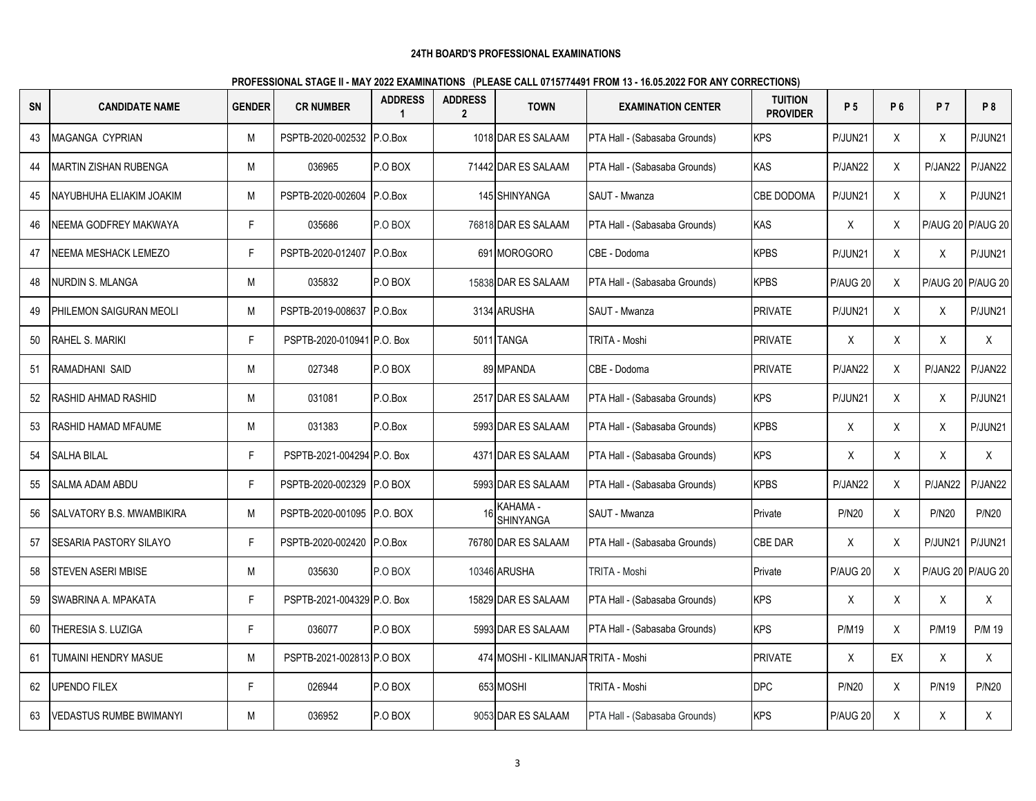| <b>SN</b> | <b>CANDIDATE NAME</b>          | <b>GENDER</b> | <b>CR NUMBER</b>           | <b>ADDRESS</b> | <b>ADDRESS</b><br>$\overline{2}$ | <b>TOWN</b>                          | <b>EXAMINATION CENTER</b>     | <b>TUITION</b><br><b>PROVIDER</b> | P 5          | P 6          | <b>P7</b>         | P <sub>8</sub>    |
|-----------|--------------------------------|---------------|----------------------------|----------------|----------------------------------|--------------------------------------|-------------------------------|-----------------------------------|--------------|--------------|-------------------|-------------------|
| 43        | <b>MAGANGA CYPRIAN</b>         | M             | PSPTB-2020-002532          | P.O.Box        |                                  | 1018 DAR ES SALAAM                   | PTA Hall - (Sabasaba Grounds) | KPS                               | P/JUN21      | X            | X                 | P/JUN21           |
| 44        | MARTIN ZISHAN RUBENGA          | М             | 036965                     | P.O BOX        |                                  | 71442 DAR ES SALAAM                  | PTA Hall - (Sabasaba Grounds) | KAS                               | P/JAN22      | X            | P/JAN22           | P/JAN22           |
| 45        | NAYUBHUHA ELIAKIM JOAKIM       | М             | PSPTB-2020-002604          | P.O.Box        |                                  | 145 SHINYANGA                        | SAUT - Mwanza                 | CBE DODOMA                        | P/JUN21      | X            | Χ                 | P/JUN21           |
| 46        | NEEMA GODFREY MAKWAYA          | F.            | 035686                     | P.O BOX        |                                  | 76818 DAR ES SALAAM                  | PTA Hall - (Sabasaba Grounds) | <b>KAS</b>                        | Χ            | X            |                   | P/AUG 20 P/AUG 20 |
| 47        | NEEMA MESHACK LEMEZO           | F             | PSPTB-2020-012407          | P.O.Box        |                                  | 691 MOROGORO                         | CBE - Dodoma                  | <b>KPBS</b>                       | P/JUN21      | X            | Χ                 | P/JUN21           |
| 48        | <b>NURDIN S. MLANGA</b>        | M             | 035832                     | P.O BOX        |                                  | 15838 DAR ES SALAAM                  | PTA Hall - (Sabasaba Grounds) | <b>KPBS</b>                       | P/AUG 20     | X            | P/AUG 20 P/AUG 20 |                   |
| 49        | PHILEMON SAIGURAN MEOLI        | M             | PSPTB-2019-008637 P.O.Box  |                |                                  | 3134 ARUSHA                          | SAUT - Mwanza                 | <b>PRIVATE</b>                    | P/JUN21      | X            | $\sf X$           | P/JUN21           |
| 50        | RAHEL S. MARIKI                | F.            | PSPTB-2020-010941 P.O. Box |                |                                  | 5011 TANGA                           | TRITA - Moshi                 | <b>PRIVATE</b>                    | X            | X            | X                 | X                 |
| 51        | RAMADHANI SAID                 | M             | 027348                     | P.O BOX        |                                  | 89 MPANDA                            | CBE - Dodoma                  | <b>PRIVATE</b>                    | P/JAN22      | $\mathsf{X}$ | P/JAN22           | P/JAN22           |
| 52        | RASHID AHMAD RASHID            | М             | 031081                     | P.O.Box        |                                  | 2517 DAR ES SALAAM                   | PTA Hall - (Sabasaba Grounds) | <b>KPS</b>                        | P/JUN21      | X            | X                 | P/JUN21           |
| 53        | RASHID HAMAD MFAUME            | М             | 031383                     | P.O.Box        |                                  | 5993 DAR ES SALAAM                   | PTA Hall - (Sabasaba Grounds) | <b>KPBS</b>                       | X            | X            | $\mathsf{X}$      | P/JUN21           |
| 54        | <b>SALHA BILAL</b>             | F.            | PSPTB-2021-004294 P.O. Box |                |                                  | 4371 DAR ES SALAAM                   | PTA Hall - (Sabasaba Grounds) | <b>KPS</b>                        | X            | X            | $\sf X$           | $\mathsf{X}$      |
| 55        | SALMA ADAM ABDU                | F.            | PSPTB-2020-002329 P.O BOX  |                |                                  | 5993 DAR ES SALAAM                   | PTA Hall - (Sabasaba Grounds) | <b>KPBS</b>                       | P/JAN22      | X            | P/JAN22           | P/JAN22           |
| 56        | SALVATORY B.S. MWAMBIKIRA      | M             | PSPTB-2020-001095 P.O. BOX |                |                                  | KAHAMA -<br>SHINYANGA                | SAUT - Mwanza                 | Private                           | <b>P/N20</b> | X            | <b>P/N20</b>      | <b>P/N20</b>      |
| 57        | <b>SESARIA PASTORY SILAYO</b>  | F             | PSPTB-2020-002420 P.O.Box  |                |                                  | 76780 DAR ES SALAAM                  | PTA Hall - (Sabasaba Grounds) | CBE DAR                           | X            | X            | P/JUN21           | P/JUN21           |
| 58        | STEVEN ASERI MBISE             | M             | 035630                     | P.O BOX        |                                  | 10346 ARUSHA                         | TRITA - Moshi                 | Private                           | P/AUG 20     | X            |                   | P/AUG 20 P/AUG 20 |
| 59        | SWABRINA A. MPAKATA            | F             | PSPTB-2021-004329 P.O. Box |                |                                  | 15829 DAR ES SALAAM                  | PTA Hall - (Sabasaba Grounds) | <b>KPS</b>                        | X            | X            | $\sf X$           | X                 |
| 60        | THERESIA S. LUZIGA             | F             | 036077                     | P.O BOX        |                                  | 5993 DAR ES SALAAM                   | PTA Hall - (Sabasaba Grounds) | <b>KPS</b>                        | <b>P/M19</b> | X            | <b>P/M19</b>      | P/M 19            |
| 61        | TUMAINI HENDRY MASUE           | М             | PSPTB-2021-002813 P.O BOX  |                |                                  | 474 MOSHI - KILIMANJAR TRITA - Moshi |                               | <b>PRIVATE</b>                    | X            | EX           | X                 | X                 |
| 62        | <b>UPENDO FILEX</b>            | F             | 026944                     | P.O BOX        |                                  | 653 MOSHI                            | TRITA - Moshi                 | <b>DPC</b>                        | <b>P/N20</b> | X            | <b>P/N19</b>      | <b>P/N20</b>      |
| 63        | <b>VEDASTUS RUMBE BWIMANYI</b> | М             | 036952                     | P.O BOX        |                                  | 9053 DAR ES SALAAM                   | PTA Hall - (Sabasaba Grounds) | <b>KPS</b>                        | P/AUG 20     | X            | Χ                 | X                 |